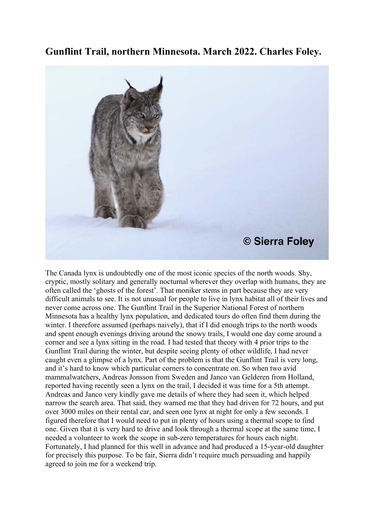**Gunflint Trail, northern Minnesota. March 2022. Charles Foley.**



The Canada lynx is undoubtedly one of the most iconic species of the north woods. Shy, cryptic, mostly solitary and generally nocturnal wherever they overlap with humans, they are often called the 'ghosts of the forest'. That moniker stems in part because they are very difficult animals to see. It is not unusual for people to live in lynx habitat all of their lives and never come across one. The Gunflint Trail in the Superior National Forest of northern Minnesota has a healthy lynx population, and dedicated tours do often find them during the winter. I therefore assumed (perhaps naively), that if I did enough trips to the north woods and spent enough evenings driving around the snowy trails, I would one day come around a corner and see a lynx sitting in the road. I had tested that theory with 4 prior trips to the Gunflint Trail during the winter, but despite seeing plenty of other wildlife, I had never caught even a glimpse of a lynx. Part of the problem is that the Gunflint Trail is very long, and it's hard to know which particular corners to concentrate on. So when two avid mammalwatchers, Andreas Jonsson from Sweden and Janco van Gelderen from Holland, reported having recently seen a lynx on the trail, I decided it was time for a 5th attempt. Andreas and Janco very kindly gave me details of where they had seen it, which helped narrow the search area. That said, they warned me that they had driven for 72 hours, and put over 3000 miles on their rental car, and seen one lynx at night for only a few seconds. I figured therefore that I would need to put in plenty of hours using a thermal scope to find one. Given that it is very hard to drive and look through a thermal scope at the same time, I needed a volunteer to work the scope in sub-zero temperatures for hours each night. Fortunately, I had planned for this well in advance and had produced a 15-year-old daughter for precisely this purpose. To be fair, Sierra didn't require much persuading and happily agreed to join me for a weekend trip.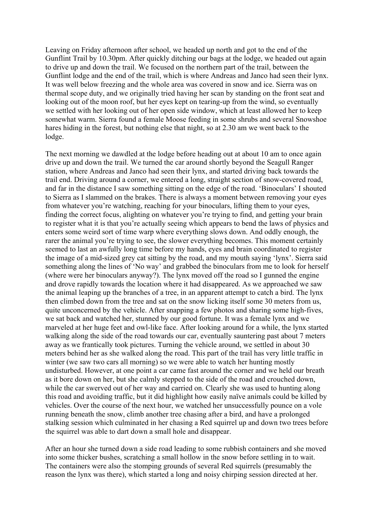Leaving on Friday afternoon after school, we headed up north and got to the end of the Gunflint Trail by 10.30pm. After quickly ditching our bags at the lodge, we headed out again to drive up and down the trail. We focused on the northern part of the trail, between the Gunflint lodge and the end of the trail, which is where Andreas and Janco had seen their lynx. It was well below freezing and the whole area was covered in snow and ice. Sierra was on thermal scope duty, and we originally tried having her scan by standing on the front seat and looking out of the moon roof, but her eyes kept on tearing-up from the wind, so eventually we settled with her looking out of her open side window, which at least allowed her to keep somewhat warm. Sierra found a female Moose feeding in some shrubs and several Snowshoe hares hiding in the forest, but nothing else that night, so at 2.30 am we went back to the lodge.

The next morning we dawdled at the lodge before heading out at about 10 am to once again drive up and down the trail. We turned the car around shortly beyond the Seagull Ranger station, where Andreas and Janco had seen their lynx, and started driving back towards the trail end. Driving around a corner, we entered a long, straight section of snow-covered road, and far in the distance I saw something sitting on the edge of the road. 'Binoculars' I shouted to Sierra as I slammed on the brakes. There is always a moment between removing your eyes from whatever you're watching, reaching for your binoculars, lifting them to your eyes, finding the correct focus, alighting on whatever you're trying to find, and getting your brain to register what it is that you're actually seeing which appears to bend the laws of physics and enters some weird sort of time warp where everything slows down. And oddly enough, the rarer the animal you're trying to see, the slower everything becomes. This moment certainly seemed to last an awfully long time before my hands, eyes and brain coordinated to register the image of a mid-sized grey cat sitting by the road, and my mouth saying 'lynx'. Sierra said something along the lines of 'No way' and grabbed the binoculars from me to look for herself (where were her binoculars anyway?). The lynx moved off the road so I gunned the engine and drove rapidly towards the location where it had disappeared. As we approached we saw the animal leaping up the branches of a tree, in an apparent attempt to catch a bird. The lynx then climbed down from the tree and sat on the snow licking itself some 30 meters from us, quite unconcerned by the vehicle. After snapping a few photos and sharing some high-fives, we sat back and watched her, stunned by our good fortune. It was a female lynx and we marveled at her huge feet and owl-like face. After looking around for a while, the lynx started walking along the side of the road towards our car, eventually sauntering past about 7 meters away as we frantically took pictures. Turning the vehicle around, we settled in about 30 meters behind her as she walked along the road. This part of the trail has very little traffic in winter (we saw two cars all morning) so we were able to watch her hunting mostly undisturbed. However, at one point a car came fast around the corner and we held our breath as it bore down on her, but she calmly stepped to the side of the road and crouched down, while the car swerved out of her way and carried on. Clearly she was used to hunting along this road and avoiding traffic, but it did highlight how easily naïve animals could be killed by vehicles. Over the course of the next hour, we watched her unsuccessfully pounce on a vole running beneath the snow, climb another tree chasing after a bird, and have a prolonged stalking session which culminated in her chasing a Red squirrel up and down two trees before the squirrel was able to dart down a small hole and disappear.

After an hour she turned down a side road leading to some rubbish containers and she moved into some thicker bushes, scratching a small hollow in the snow before settling in to wait. The containers were also the stomping grounds of several Red squirrels (presumably the reason the lynx was there), which started a long and noisy chirping session directed at her.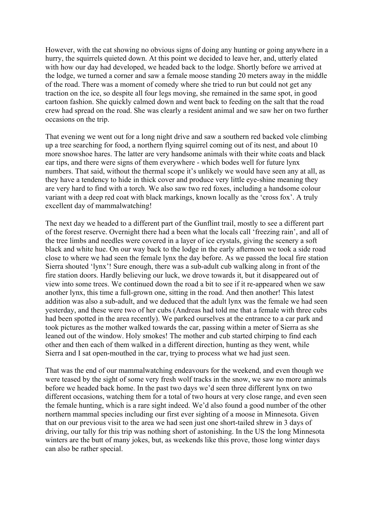However, with the cat showing no obvious signs of doing any hunting or going anywhere in a hurry, the squirrels quieted down. At this point we decided to leave her, and, utterly elated with how our day had developed, we headed back to the lodge. Shortly before we arrived at the lodge, we turned a corner and saw a female moose standing 20 meters away in the middle of the road. There was a moment of comedy where she tried to run but could not get any traction on the ice, so despite all four legs moving, she remained in the same spot, in good cartoon fashion. She quickly calmed down and went back to feeding on the salt that the road crew had spread on the road. She was clearly a resident animal and we saw her on two further occasions on the trip.

That evening we went out for a long night drive and saw a southern red backed vole climbing up a tree searching for food, a northern flying squirrel coming out of its nest, and about 10 more snowshoe hares. The latter are very handsome animals with their white coats and black ear tips, and there were signs of them everywhere - which bodes well for future lynx numbers. That said, without the thermal scope it's unlikely we would have seen any at all, as they have a tendency to hide in thick cover and produce very little eye-shine meaning they are very hard to find with a torch. We also saw two red foxes, including a handsome colour variant with a deep red coat with black markings, known locally as the 'cross fox'. A truly excellent day of mammalwatching!

The next day we headed to a different part of the Gunflint trail, mostly to see a different part of the forest reserve. Overnight there had a been what the locals call 'freezing rain', and all of the tree limbs and needles were covered in a layer of ice crystals, giving the scenery a soft black and white hue. On our way back to the lodge in the early afternoon we took a side road close to where we had seen the female lynx the day before. As we passed the local fire station Sierra shouted 'lynx'! Sure enough, there was a sub-adult cub walking along in front of the fire station doors. Hardly believing our luck, we drove towards it, but it disappeared out of view into some trees. We continued down the road a bit to see if it re-appeared when we saw another lynx, this time a full-grown one, sitting in the road. And then another! This latest addition was also a sub-adult, and we deduced that the adult lynx was the female we had seen yesterday, and these were two of her cubs (Andreas had told me that a female with three cubs had been spotted in the area recently). We parked ourselves at the entrance to a car park and took pictures as the mother walked towards the car, passing within a meter of Sierra as she leaned out of the window. Holy smokes! The mother and cub started chirping to find each other and then each of them walked in a different direction, hunting as they went, while Sierra and I sat open-mouthed in the car, trying to process what we had just seen.

That was the end of our mammalwatching endeavours for the weekend, and even though we were teased by the sight of some very fresh wolf tracks in the snow, we saw no more animals before we headed back home. In the past two days we'd seen three different lynx on two different occasions, watching them for a total of two hours at very close range, and even seen the female hunting, which is a rare sight indeed. We'd also found a good number of the other northern mammal species including our first ever sighting of a moose in Minnesota. Given that on our previous visit to the area we had seen just one short-tailed shrew in 3 days of driving, our tally for this trip was nothing short of astonishing. In the US the long Minnesota winters are the butt of many jokes, but, as weekends like this prove, those long winter days can also be rather special.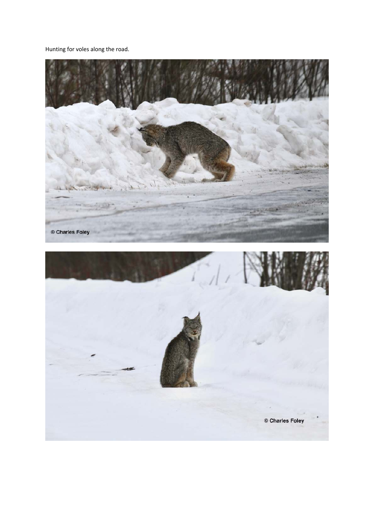Hunting for voles along the road.

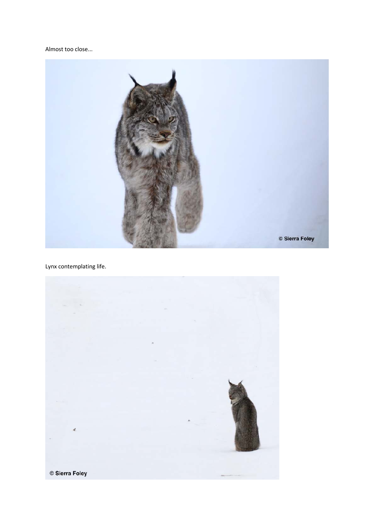## Almost too close...



Lynx contemplating life.

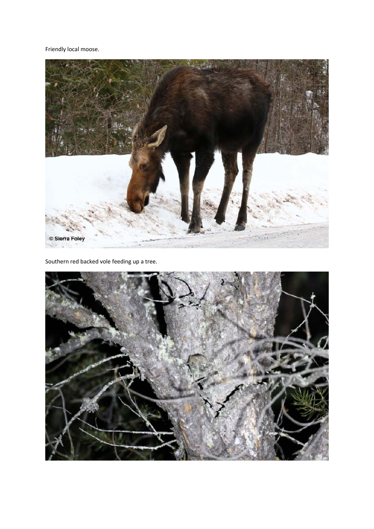Friendly local moose.



Southern red backed vole feeding up a tree.